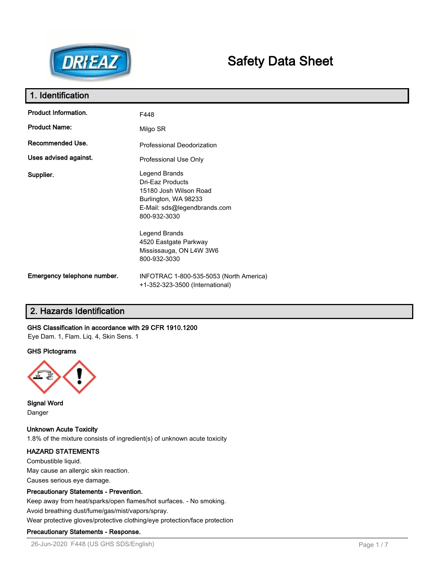

# **Safety Data Sheet**

| 1. Identification           |                                                                                                                                     |
|-----------------------------|-------------------------------------------------------------------------------------------------------------------------------------|
| Product Information.        | F448                                                                                                                                |
| <b>Product Name:</b>        | Milgo SR                                                                                                                            |
| Recommended Use.            | Professional Deodorization                                                                                                          |
| Uses advised against.       | Professional Use Only                                                                                                               |
| Supplier.                   | Legend Brands<br>Dri-Eaz Products<br>15180 Josh Wilson Road<br>Burlington, WA 98233<br>E-Mail: sds@legendbrands.com<br>800-932-3030 |
|                             | Legend Brands<br>4520 Eastgate Parkway<br>Mississauga, ON L4W 3W6<br>800-932-3030                                                   |
| Emergency telephone number. | INFOTRAC 1-800-535-5053 (North America)<br>+1-352-323-3500 (International)                                                          |

# **2. Hazards Identification**

## **GHS Classification in accordance with 29 CFR 1910.1200**

Eye Dam. 1, Flam. Liq. 4, Skin Sens. 1

## **GHS Pictograms**



**Signal Word** Danger

**Unknown Acute Toxicity** 1.8% of the mixture consists of ingredient(s) of unknown acute toxicity

# **HAZARD STATEMENTS**

Combustible liquid. May cause an allergic skin reaction. Causes serious eye damage.

## **Precautionary Statements - Prevention.**

Keep away from heat/sparks/open flames/hot surfaces. - No smoking.

Avoid breathing dust/fume/gas/mist/vapors/spray.

Wear protective gloves/protective clothing/eye protection/face protection

## **Precautionary Statements - Response.**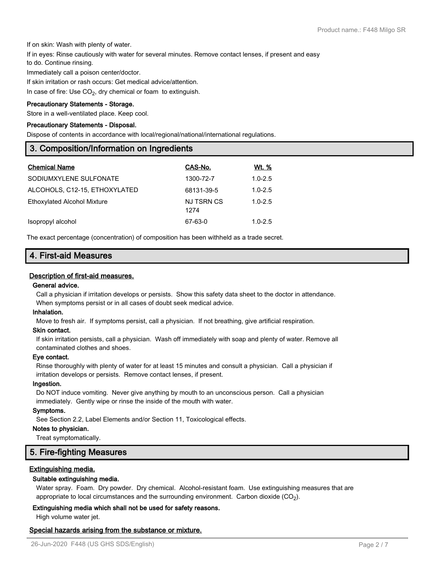If on skin: Wash with plenty of water.

If in eyes: Rinse cautiously with water for several minutes. Remove contact lenses, if present and easy

to do. Continue rinsing.

Immediately call a poison center/doctor.

If skin irritation or rash occurs: Get medical advice/attention.

In case of fire: Use  $\mathsf{CO}_{2}$ , dry chemical or foam to extinguish.

#### **Precautionary Statements - Storage.**

Store in a well-ventilated place. Keep cool.

#### **Precautionary Statements - Disposal.**

Dispose of contents in accordance with local/regional/national/international regulations.

## **3. Composition/Information on Ingredients**

| <b>Chemical Name</b>          | CAS-No.            | Wt. %       |
|-------------------------------|--------------------|-------------|
| SODIUMXYLENE SULFONATE        | 1300-72-7          | $1.0 - 2.5$ |
| ALCOHOLS, C12-15, ETHOXYLATED | 68131-39-5         | $1.0 - 2.5$ |
| Ethoxylated Alcohol Mixture   | NJ TSRN CS<br>1274 | $1.0 - 2.5$ |
| Isopropyl alcohol             | 67-63-0            | $1.0 - 2.5$ |

The exact percentage (concentration) of composition has been withheld as a trade secret.

## **4. First-aid Measures**

## **Description of first-aid measures.**

#### **General advice.**

Call a physician if irritation develops or persists. Show this safety data sheet to the doctor in attendance. When symptoms persist or in all cases of doubt seek medical advice.

#### **Inhalation.**

Move to fresh air. If symptoms persist, call a physician. If not breathing, give artificial respiration.

#### **Skin contact.**

If skin irritation persists, call a physician. Wash off immediately with soap and plenty of water. Remove all contaminated clothes and shoes.

#### **Eye contact.**

Rinse thoroughly with plenty of water for at least 15 minutes and consult a physician. Call a physician if irritation develops or persists. Remove contact lenses, if present.

#### **Ingestion.**

Do NOT induce vomiting. Never give anything by mouth to an unconscious person. Call a physician immediately. Gently wipe or rinse the inside of the mouth with water.

#### **Symptoms.**

See Section 2.2, Label Elements and/or Section 11, Toxicological effects.

#### **Notes to physician.**

Treat symptomatically.

## **5. Fire-fighting Measures**

## **Extinguishing media.**

## **Suitable extinguishing media.**

Water spray. Foam. Dry powder. Dry chemical. Alcohol-resistant foam. Use extinguishing measures that are appropriate to local circumstances and the surrounding environment.  $\rm \, Carbon$  dioxide  $\rm (CO_2).$ 

## **Extinguishing media which shall not be used for safety reasons.**

High volume water jet.

## **Special hazards arising from the substance or mixture.**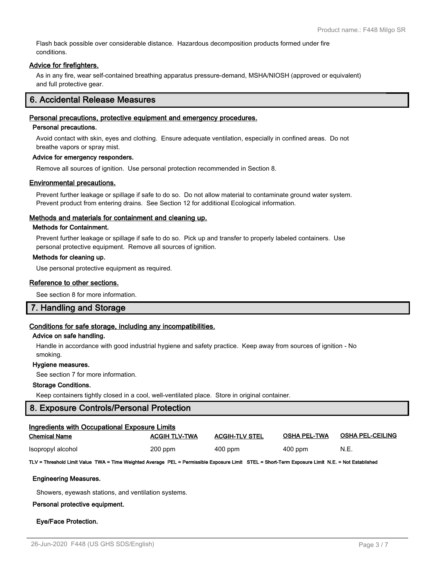Flash back possible over considerable distance. Hazardous decomposition products formed under fire conditions.

#### **Advice for firefighters.**

As in any fire, wear self-contained breathing apparatus pressure-demand, MSHA/NIOSH (approved or equivalent) and full protective gear.

## **6. Accidental Release Measures**

#### **Personal precautions, protective equipment and emergency procedures.**

#### **Personal precautions.**

Avoid contact with skin, eyes and clothing. Ensure adequate ventilation, especially in confined areas. Do not breathe vapors or spray mist.

#### **Advice for emergency responders.**

Remove all sources of ignition. Use personal protection recommended in Section 8.

#### **Environmental precautions.**

Prevent further leakage or spillage if safe to do so. Do not allow material to contaminate ground water system. Prevent product from entering drains. See Section 12 for additional Ecological information.

#### **Methods and materials for containment and cleaning up.**

#### **Methods for Containment.**

Prevent further leakage or spillage if safe to do so. Pick up and transfer to properly labeled containers. Use personal protective equipment. Remove all sources of ignition.

#### **Methods for cleaning up.**

Use personal protective equipment as required.

#### **Reference to other sections.**

See section 8 for more information.

## **7. Handling and Storage**

## **Conditions for safe storage, including any incompatibilities.**

#### **Advice on safe handling.**

Handle in accordance with good industrial hygiene and safety practice. Keep away from sources of ignition - No smoking.

#### **Hygiene measures.**

See section 7 for more information.

## **Storage Conditions.**

Keep containers tightly closed in a cool, well-ventilated place. Store in original container.

## **8. Exposure Controls/Personal Protection**

| Ingredients with Occupational Exposure Limits |                      |                       |                     |                         |  |
|-----------------------------------------------|----------------------|-----------------------|---------------------|-------------------------|--|
| <b>Chemical Name</b>                          | <b>ACGIH TLV-TWA</b> | <b>ACGIH-TLV STEL</b> | <b>OSHA PEL-TWA</b> | <b>OSHA PEL-CEILING</b> |  |
| Isopropyl alcohol                             | $200$ ppm            | $400$ ppm             | $400$ ppm           | N.E.                    |  |

#### **TLV = Threshold Limit Value TWA = Time Weighted Average PEL = Permissible Exposure Limit STEL = Short-Term Exposure Limit N.E. = Not Established**

#### **Engineering Measures.**

Showers, eyewash stations, and ventilation systems.

#### **Personal protective equipment.**

#### **Eye/Face Protection.**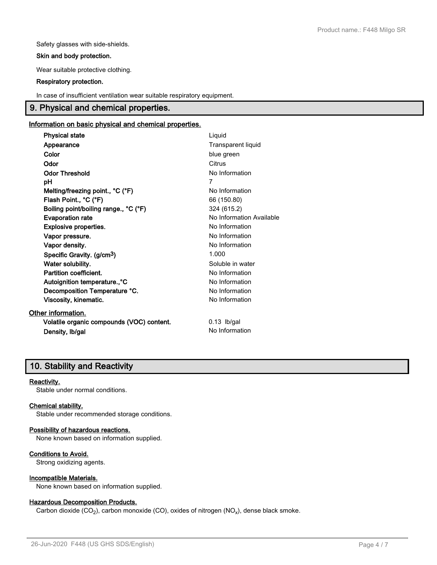Safety glasses with side-shields.

#### **Skin and body protection.**

Wear suitable protective clothing.

#### **Respiratory protection.**

In case of insufficient ventilation wear suitable respiratory equipment.

# **9. Physical and chemical properties.**

## **Information on basic physical and chemical properties.**

| <b>Physical state</b>                     | Liquid                   |
|-------------------------------------------|--------------------------|
| Appearance                                | Transparent liquid       |
| Color                                     | blue green               |
| Odor                                      | Citrus                   |
| <b>Odor Threshold</b>                     | No Information           |
| рH                                        | 7                        |
| Melting/freezing point., °C (°F)          | No Information           |
| Flash Point., °C (°F)                     | 66 (150.80)              |
| Boiling point/boiling range., °C (°F)     | 324 (615.2)              |
| <b>Evaporation rate</b>                   | No Information Available |
| Explosive properties.                     | No Information           |
| Vapor pressure.                           | No Information           |
| Vapor density.                            | No Information           |
| Specific Gravity. (g/cm <sup>3</sup> )    | 1.000                    |
| Water solubility.                         | Soluble in water         |
| Partition coefficient.                    | No Information           |
| Autoignition temperature., °C             | No Information           |
| Decomposition Temperature °C.             | No Information           |
| Viscosity, kinematic.                     | No Information           |
| Other information.                        |                          |
| Volatile organic compounds (VOC) content. | $0.13$ lb/gal            |
| Density, Ib/gal                           | No Information           |

# **10. Stability and Reactivity**

## **Reactivity.**

Stable under normal conditions.

## **Chemical stability.**

Stable under recommended storage conditions.

## **Possibility of hazardous reactions.**

None known based on information supplied.

## **Conditions to Avoid.**

Strong oxidizing agents.

## **Incompatible Materials.**

None known based on information supplied.

## **Hazardous Decomposition Products.**

Carbon dioxide (CO<sub>2</sub>), carbon monoxide (CO), oxides of nitrogen (NO<sub>x</sub>), dense black smoke.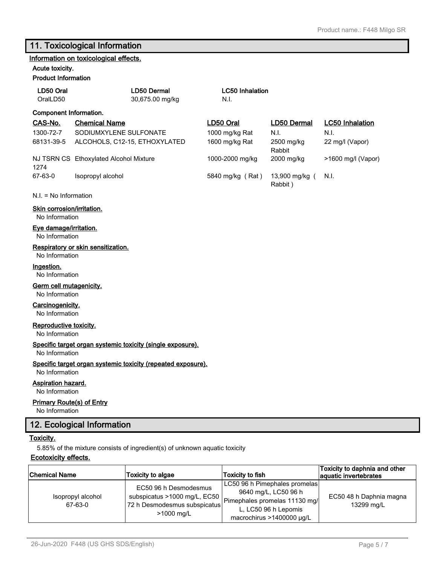# **11. Toxicological Information**

## **Information on toxicological effects.**

#### **Acute toxicity. Product Info**

| <b>Product Information</b> |                                        |                                |                           |                        |
|----------------------------|----------------------------------------|--------------------------------|---------------------------|------------------------|
| LD50 Oral<br>OralLD50      | LD50 Dermal<br>30,675.00 mg/kg         | <b>LC50 Inhalation</b><br>N.I. |                           |                        |
| Component Information.     |                                        |                                |                           |                        |
| CAS-No.                    | <b>Chemical Name</b>                   | LD <sub>50</sub> Oral          | <b>LD50 Dermal</b>        | <b>LC50 Inhalation</b> |
| 1300-72-7                  | SODIUMXYLENE SULFONATE                 | 1000 mg/kg Rat                 | N.I.                      | N.I.                   |
| 68131-39-5                 | ALCOHOLS, C12-15, ETHOXYLATED          | 1600 mg/kg Rat                 | 2500 mg/kg<br>Rabbit      | 22 mg/l (Vapor)        |
| 1274                       | NJ TSRN CS Ethoxylated Alcohol Mixture | 1000-2000 mg/kg                | 2000 mg/kg                | >1600 mg/l (Vapor)     |
| 67-63-0                    | Isopropyl alcohol                      | 5840 mg/kg (Rat)               | 13,900 mg/kg (<br>Rabbit) | N.I.                   |
| $N.I. = No Information$    |                                        |                                |                           |                        |

## **Skin corrosion/irritation.**

No Information

## **Eye damage/irritation.**

No Information

#### **Respiratory or skin sensitization.**

No Information

## **Ingestion.**

No Information

## **Germ cell mutagenicity.**

No Information

## **Carcinogenicity.**

No Information

## **Reproductive toxicity.**

No Information

#### **Specific target organ systemic toxicity (single exposure).**

No Information

#### **Specific target organ systemic toxicity (repeated exposure).**

No Information

#### **Aspiration hazard.**

No Information

#### **Primary Route(s) of Entry**

No Information

# **12. Ecological Information**

## **Toxicity.**

5.85% of the mixture consists of ingredient(s) of unknown aquatic toxicity

#### **Ecotoxicity effects.**

| <b>Chemical Name</b>         | Toxicity to algae                                                                                                 | Toxicity to fish                                                                                                                                  | Toxicity to daphnia and other<br>aquatic invertebrates |
|------------------------------|-------------------------------------------------------------------------------------------------------------------|---------------------------------------------------------------------------------------------------------------------------------------------------|--------------------------------------------------------|
| Isopropyl alcohol<br>67-63-0 | EC50 96 h Desmodesmus<br>subspicatus >1000 mg/L, EC50  <br>72 h Desmodesmus subspicatus<br>$>1000 \; \text{mq/L}$ | LC50 96 h Pimephales promelas <br>9640 mg/L, LC50 96 h<br>Pimephales promelas 11130 mg/<br>L. LC50 96 h Lepomis<br>macrochirus >1400000 $\mu$ g/L | EC50 48 h Daphnia magna<br>13299 mg/L                  |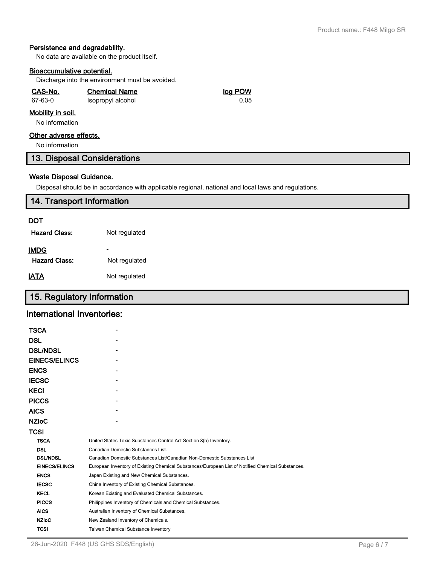## **Persistence and degradability.**

No data are available on the product itself.

## **Bioaccumulative potential.**

Discharge into the environment must be avoided.

## **CAS-No. Chemical Name log POW** 67-63-0 Isopropyl alcohol 0.05

## **Mobility in soil.**

No information

## **Other adverse effects.**

No information

## **13. Disposal Considerations**

## **Waste Disposal Guidance.**

Disposal should be in accordance with applicable regional, national and local laws and regulations.

# **14. Transport Information DOT Hazard Class:** Not regulated - **IMDG** Hazard Class: Not regulated **IATA** Not regulated

# **15. Regulatory Information**

## **International Inventories:**

| United States Toxic Substances Control Act Section 8(b) Inventory.                                |
|---------------------------------------------------------------------------------------------------|
| Canadian Domestic Substances List.                                                                |
| Canadian Domestic Substances List/Canadian Non-Domestic Substances List                           |
| European Inventory of Existing Chemical Substances/European List of Notified Chemical Substances. |
| Japan Existing and New Chemical Substances.                                                       |
| China Inventory of Existing Chemical Substances.                                                  |
| Korean Existing and Evaluated Chemical Substances.                                                |
| Philippines Inventory of Chemicals and Chemical Substances.                                       |
| Australian Inventory of Chemical Substances.                                                      |
| New Zealand Inventory of Chemicals.                                                               |
| Taiwan Chemical Substance Inventory                                                               |
|                                                                                                   |